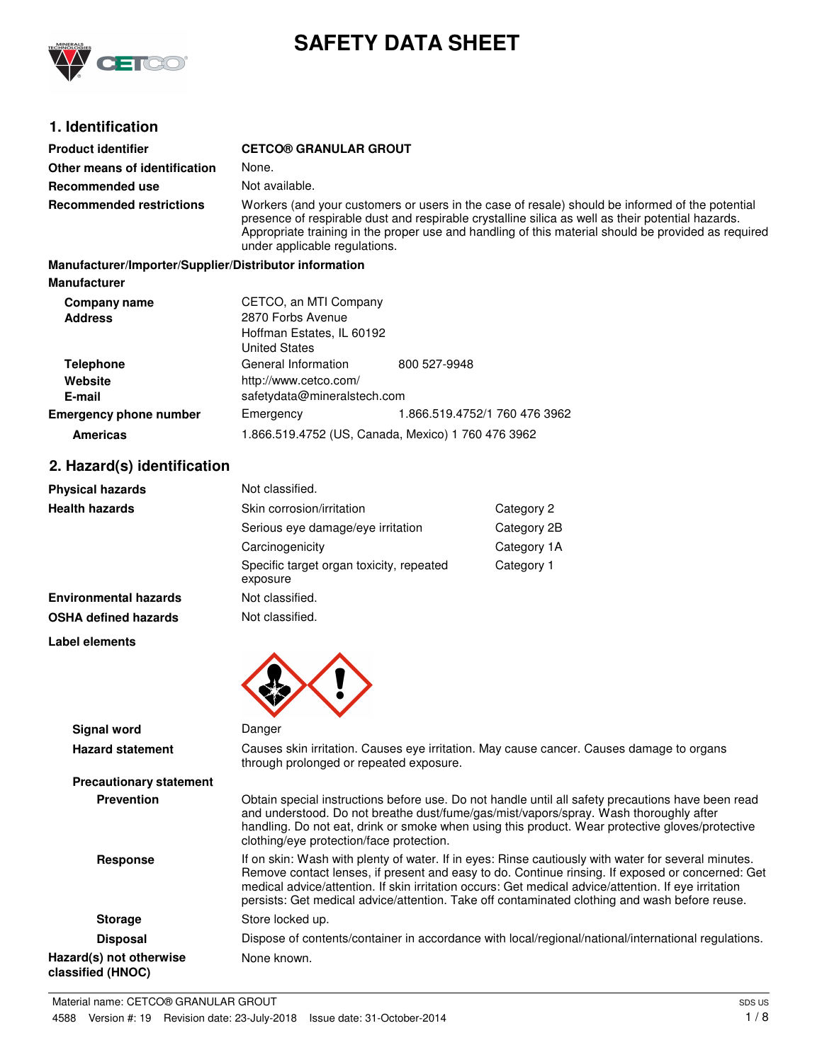

# **SAFETY DATA SHEET**

# **1. Identification**

| <b>Product identifier</b>                              | <b>CETCO® GRANULAR GROUT</b>                                                                                                                                                                                                                                                                                                                 |
|--------------------------------------------------------|----------------------------------------------------------------------------------------------------------------------------------------------------------------------------------------------------------------------------------------------------------------------------------------------------------------------------------------------|
| Other means of identification                          | None.                                                                                                                                                                                                                                                                                                                                        |
| Recommended use                                        | Not available.                                                                                                                                                                                                                                                                                                                               |
| <b>Recommended restrictions</b>                        | Workers (and your customers or users in the case of resale) should be informed of the potential<br>presence of respirable dust and respirable crystalline silica as well as their potential hazards.<br>Appropriate training in the proper use and handling of this material should be provided as required<br>under applicable regulations. |
| Manufacturer/Importer/Supplier/Distributor information |                                                                                                                                                                                                                                                                                                                                              |
| <b>Manufacturer</b>                                    |                                                                                                                                                                                                                                                                                                                                              |

| Company name<br><b>Address</b> | CETCO, an MTI Company<br>2870 Forbs Avenue<br>Hoffman Estates, IL 60192<br><b>United States</b> |                                                    |
|--------------------------------|-------------------------------------------------------------------------------------------------|----------------------------------------------------|
| <b>Telephone</b>               | General Information                                                                             | 800 527-9948                                       |
| Website                        | http://www.cetco.com/                                                                           |                                                    |
| E-mail                         | safetydata@mineralstech.com                                                                     |                                                    |
| <b>Emergency phone number</b>  | Emergency                                                                                       | 1.866.519.4752/1 760 476 3962                      |
| <b>Americas</b>                |                                                                                                 | 1.866.519.4752 (US, Canada, Mexico) 1 760 476 3962 |

# **2. Hazard(s) identification**

| <b>Physical hazards</b>      | Not classified.                                      |             |
|------------------------------|------------------------------------------------------|-------------|
| <b>Health hazards</b>        | Skin corrosion/irritation                            | Category 2  |
|                              | Serious eye damage/eye irritation                    | Category 2B |
|                              | Carcinogenicity                                      | Category 1A |
|                              | Specific target organ toxicity, repeated<br>exposure | Category 1  |
| <b>Environmental hazards</b> | Not classified.                                      |             |
| <b>OSHA defined hazards</b>  | Not classified.                                      |             |

**Label elements**



| <b>Signal word</b>                           | Danger                                                                                                                                                                                                                                                                                                                                                                                                           |
|----------------------------------------------|------------------------------------------------------------------------------------------------------------------------------------------------------------------------------------------------------------------------------------------------------------------------------------------------------------------------------------------------------------------------------------------------------------------|
| <b>Hazard statement</b>                      | Causes skin irritation. Causes eye irritation. May cause cancer. Causes damage to organs<br>through prolonged or repeated exposure.                                                                                                                                                                                                                                                                              |
| <b>Precautionary statement</b>               |                                                                                                                                                                                                                                                                                                                                                                                                                  |
| <b>Prevention</b>                            | Obtain special instructions before use. Do not handle until all safety precautions have been read<br>and understood. Do not breathe dust/fume/gas/mist/vapors/spray. Wash thoroughly after<br>handling. Do not eat, drink or smoke when using this product. Wear protective gloves/protective<br>clothing/eye protection/face protection.                                                                        |
| Response                                     | If on skin: Wash with plenty of water. If in eyes: Rinse cautiously with water for several minutes.<br>Remove contact lenses, if present and easy to do. Continue rinsing. If exposed or concerned: Get<br>medical advice/attention. If skin irritation occurs: Get medical advice/attention. If eye irritation<br>persists: Get medical advice/attention. Take off contaminated clothing and wash before reuse. |
| <b>Storage</b>                               | Store locked up.                                                                                                                                                                                                                                                                                                                                                                                                 |
| <b>Disposal</b>                              | Dispose of contents/container in accordance with local/regional/national/international regulations.                                                                                                                                                                                                                                                                                                              |
| Hazard(s) not otherwise<br>classified (HNOC) | None known.                                                                                                                                                                                                                                                                                                                                                                                                      |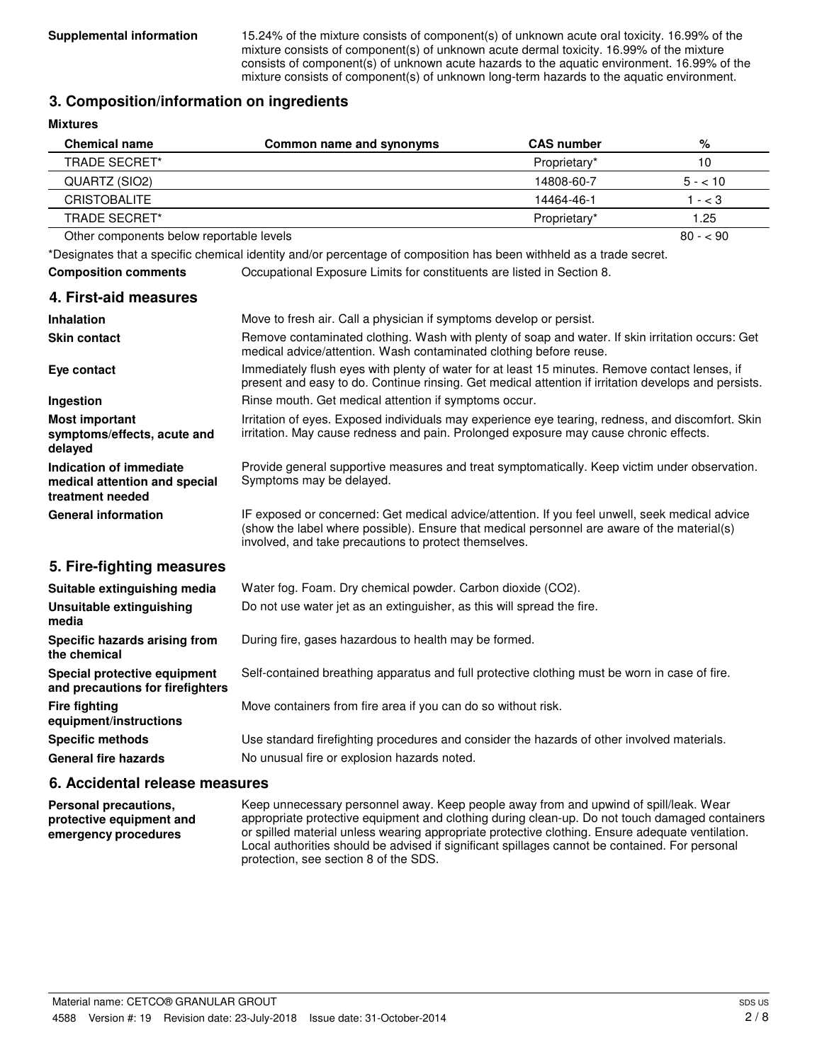**Supplemental information** 15.24% of the mixture consists of component(s) of unknown acute oral toxicity. 16.99% of the mixture consists of component(s) of unknown acute dermal toxicity. 16.99% of the mixture consists of component(s) of unknown acute hazards to the aquatic environment. 16.99% of the mixture consists of component(s) of unknown long-term hazards to the aquatic environment.

#### **3. Composition/information on ingredients**

| <b>Mixtures</b>                                                              |                                                                                                                                                                                                                                                        |                   |           |
|------------------------------------------------------------------------------|--------------------------------------------------------------------------------------------------------------------------------------------------------------------------------------------------------------------------------------------------------|-------------------|-----------|
| <b>Chemical name</b>                                                         | Common name and synonyms                                                                                                                                                                                                                               | <b>CAS number</b> | $\%$      |
| <b>TRADE SECRET*</b>                                                         |                                                                                                                                                                                                                                                        | Proprietary*      | 10        |
| QUARTZ (SIO2)                                                                |                                                                                                                                                                                                                                                        | 14808-60-7        | $5 - 10$  |
| <b>CRISTOBALITE</b>                                                          |                                                                                                                                                                                                                                                        | 14464-46-1        | $1 - < 3$ |
| <b>TRADE SECRET*</b>                                                         |                                                                                                                                                                                                                                                        | Proprietary*      | 1.25      |
| Other components below reportable levels                                     |                                                                                                                                                                                                                                                        |                   | $80 - 90$ |
|                                                                              | *Designates that a specific chemical identity and/or percentage of composition has been withheld as a trade secret.                                                                                                                                    |                   |           |
| <b>Composition comments</b>                                                  | Occupational Exposure Limits for constituents are listed in Section 8.                                                                                                                                                                                 |                   |           |
| 4. First-aid measures                                                        |                                                                                                                                                                                                                                                        |                   |           |
| <b>Inhalation</b>                                                            | Move to fresh air. Call a physician if symptoms develop or persist.                                                                                                                                                                                    |                   |           |
| <b>Skin contact</b>                                                          | Remove contaminated clothing. Wash with plenty of soap and water. If skin irritation occurs: Get<br>medical advice/attention. Wash contaminated clothing before reuse.                                                                                 |                   |           |
| Eye contact                                                                  | Immediately flush eyes with plenty of water for at least 15 minutes. Remove contact lenses, if<br>present and easy to do. Continue rinsing. Get medical attention if irritation develops and persists.                                                 |                   |           |
| Ingestion                                                                    | Rinse mouth. Get medical attention if symptoms occur.                                                                                                                                                                                                  |                   |           |
| <b>Most important</b><br>symptoms/effects, acute and<br>delayed              | Irritation of eyes. Exposed individuals may experience eye tearing, redness, and discomfort. Skin<br>irritation. May cause redness and pain. Prolonged exposure may cause chronic effects.                                                             |                   |           |
| Indication of immediate<br>medical attention and special<br>treatment needed | Provide general supportive measures and treat symptomatically. Keep victim under observation.<br>Symptoms may be delayed.                                                                                                                              |                   |           |
| <b>General information</b>                                                   | IF exposed or concerned: Get medical advice/attention. If you feel unwell, seek medical advice<br>(show the label where possible). Ensure that medical personnel are aware of the material(s)<br>involved, and take precautions to protect themselves. |                   |           |
| 5. Fire-fighting measures                                                    |                                                                                                                                                                                                                                                        |                   |           |
| Suitable extinguishing media                                                 | Water fog. Foam. Dry chemical powder. Carbon dioxide (CO2).                                                                                                                                                                                            |                   |           |
| Unsuitable extinguishing<br>media                                            | Do not use water jet as an extinguisher, as this will spread the fire.                                                                                                                                                                                 |                   |           |
| Specific hazards arising from<br>the chemical                                | During fire, gases hazardous to health may be formed.                                                                                                                                                                                                  |                   |           |
| Special protective equipment                                                 | Self-contained breathing apparatus and full protective clothing must be worn in case of fire.                                                                                                                                                          |                   |           |

**and precautions for firefighters Fire fighting Move containers from fire area if you can do so without risk. equipment/instructions Specific methods** Use standard firefighting procedures and consider the hazards of other involved materials. General fire hazards **No unusual fire or explosion hazards noted.** 

#### **6. Accidental release measures**

Keep unnecessary personnel away. Keep people away from and upwind of spill/leak. Wear appropriate protective equipment and clothing during clean-up. Do not touch damaged containers or spilled material unless wearing appropriate protective clothing. Ensure adequate ventilation. Local authorities should be advised if significant spillages cannot be contained. For personal protection, see section 8 of the SDS. **Personal precautions, protective equipment and emergency procedures**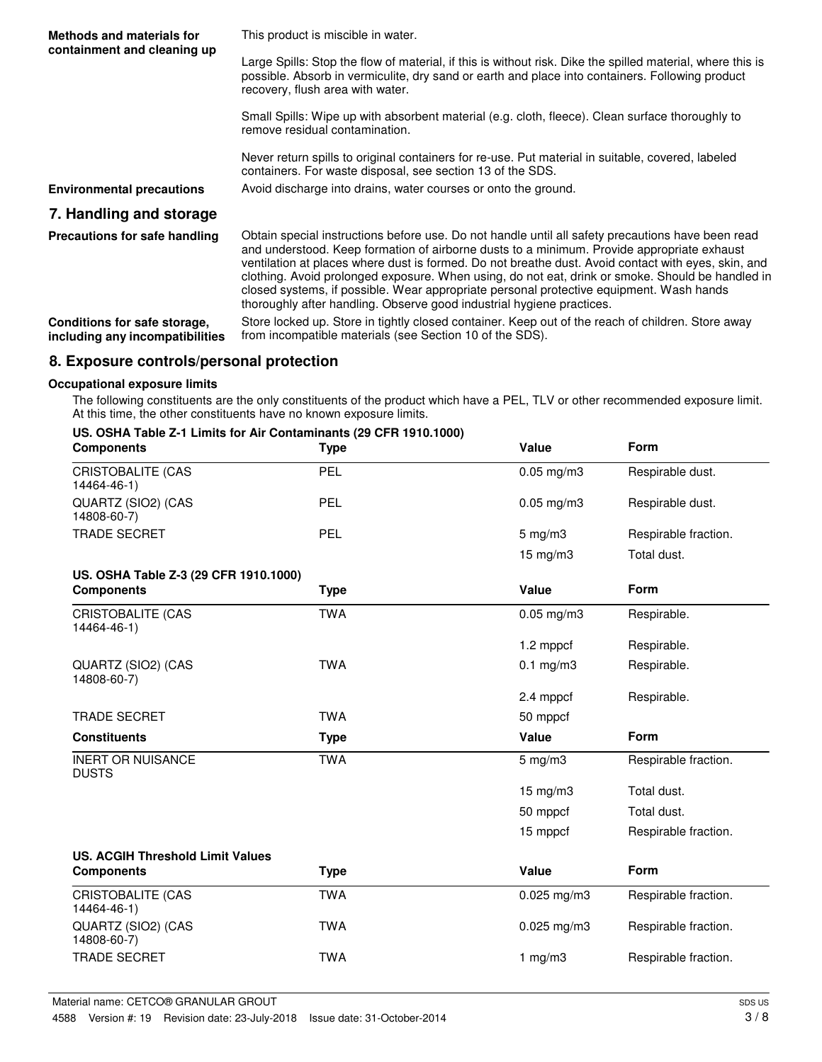| Methods and materials for<br>containment and cleaning up        | This product is miscible in water.                                                                                                                                                                                                                                                                                                                                                                                                                                                                                                                                             |
|-----------------------------------------------------------------|--------------------------------------------------------------------------------------------------------------------------------------------------------------------------------------------------------------------------------------------------------------------------------------------------------------------------------------------------------------------------------------------------------------------------------------------------------------------------------------------------------------------------------------------------------------------------------|
|                                                                 | Large Spills: Stop the flow of material, if this is without risk. Dike the spilled material, where this is<br>possible. Absorb in vermiculite, dry sand or earth and place into containers. Following product<br>recovery, flush area with water.                                                                                                                                                                                                                                                                                                                              |
|                                                                 | Small Spills: Wipe up with absorbent material (e.g. cloth, fleece). Clean surface thoroughly to<br>remove residual contamination.                                                                                                                                                                                                                                                                                                                                                                                                                                              |
|                                                                 | Never return spills to original containers for re-use. Put material in suitable, covered, labeled<br>containers. For waste disposal, see section 13 of the SDS.                                                                                                                                                                                                                                                                                                                                                                                                                |
| <b>Environmental precautions</b>                                | Avoid discharge into drains, water courses or onto the ground.                                                                                                                                                                                                                                                                                                                                                                                                                                                                                                                 |
| 7. Handling and storage                                         |                                                                                                                                                                                                                                                                                                                                                                                                                                                                                                                                                                                |
| Precautions for safe handling                                   | Obtain special instructions before use. Do not handle until all safety precautions have been read<br>and understood. Keep formation of airborne dusts to a minimum. Provide appropriate exhaust<br>ventilation at places where dust is formed. Do not breathe dust. Avoid contact with eyes, skin, and<br>clothing. Avoid prolonged exposure. When using, do not eat, drink or smoke. Should be handled in<br>closed systems, if possible. Wear appropriate personal protective equipment. Wash hands<br>thoroughly after handling. Observe good industrial hygiene practices. |
| Conditions for safe storage,<br>including any incompatibilities | Store locked up. Store in tightly closed container. Keep out of the reach of children. Store away<br>from incompatible materials (see Section 10 of the SDS).                                                                                                                                                                                                                                                                                                                                                                                                                  |
|                                                                 |                                                                                                                                                                                                                                                                                                                                                                                                                                                                                                                                                                                |

### **8. Exposure controls/personal protection**

#### **Occupational exposure limits**

The following constituents are the only constituents of the product which have a PEL, TLV or other recommended exposure limit. At this time, the other constituents have no known exposure limits.

|  |  | US. OSHA Table Z-1 Limits for Air Contaminants (29 CFR 1910.1000) |  |  |
|--|--|-------------------------------------------------------------------|--|--|
|  |  |                                                                   |  |  |

| <b>Components</b>                        | <b>Type</b> | Value              | Form                 |
|------------------------------------------|-------------|--------------------|----------------------|
| <b>CRISTOBALITE (CAS</b><br>14464-46-1)  | PEL         | $0.05$ mg/m $3$    | Respirable dust.     |
| QUARTZ (SIO2) (CAS<br>14808-60-7)        | PEL         | $0.05$ mg/m $3$    | Respirable dust.     |
| <b>TRADE SECRET</b>                      | PEL         | $5 \text{ mg/m}$ 3 | Respirable fraction. |
|                                          |             | 15 mg/m3           | Total dust.          |
| US. OSHA Table Z-3 (29 CFR 1910.1000)    |             |                    |                      |
| <b>Components</b>                        | <b>Type</b> | Value              | Form                 |
| CRISTOBALITE (CAS<br>14464-46-1)         | <b>TWA</b>  | $0.05$ mg/m $3$    | Respirable.          |
|                                          |             | 1.2 mppcf          | Respirable.          |
| QUARTZ (SIO2) (CAS<br>14808-60-7)        | <b>TWA</b>  | $0.1$ mg/m $3$     | Respirable.          |
|                                          |             | 2.4 mppcf          | Respirable.          |
| <b>TRADE SECRET</b>                      | <b>TWA</b>  | 50 mppcf           |                      |
| <b>Constituents</b>                      | <b>Type</b> | Value              | <b>Form</b>          |
| <b>INERT OR NUISANCE</b><br><b>DUSTS</b> | <b>TWA</b>  | $5$ mg/m $3$       | Respirable fraction. |
|                                          |             | $15$ mg/m $3$      | Total dust.          |
|                                          |             | 50 mppcf           | Total dust.          |
|                                          |             | 15 mppcf           | Respirable fraction. |
| <b>US. ACGIH Threshold Limit Values</b>  |             |                    |                      |
| <b>Components</b>                        | <b>Type</b> | Value              | Form                 |
| <b>CRISTOBALITE (CAS</b><br>14464-46-1)  | <b>TWA</b>  | $0.025$ mg/m3      | Respirable fraction. |
| QUARTZ (SIO2) (CAS<br>14808-60-7)        | <b>TWA</b>  | $0.025$ mg/m3      | Respirable fraction. |
| <b>TRADE SECRET</b>                      | <b>TWA</b>  | 1 $mg/m3$          | Respirable fraction. |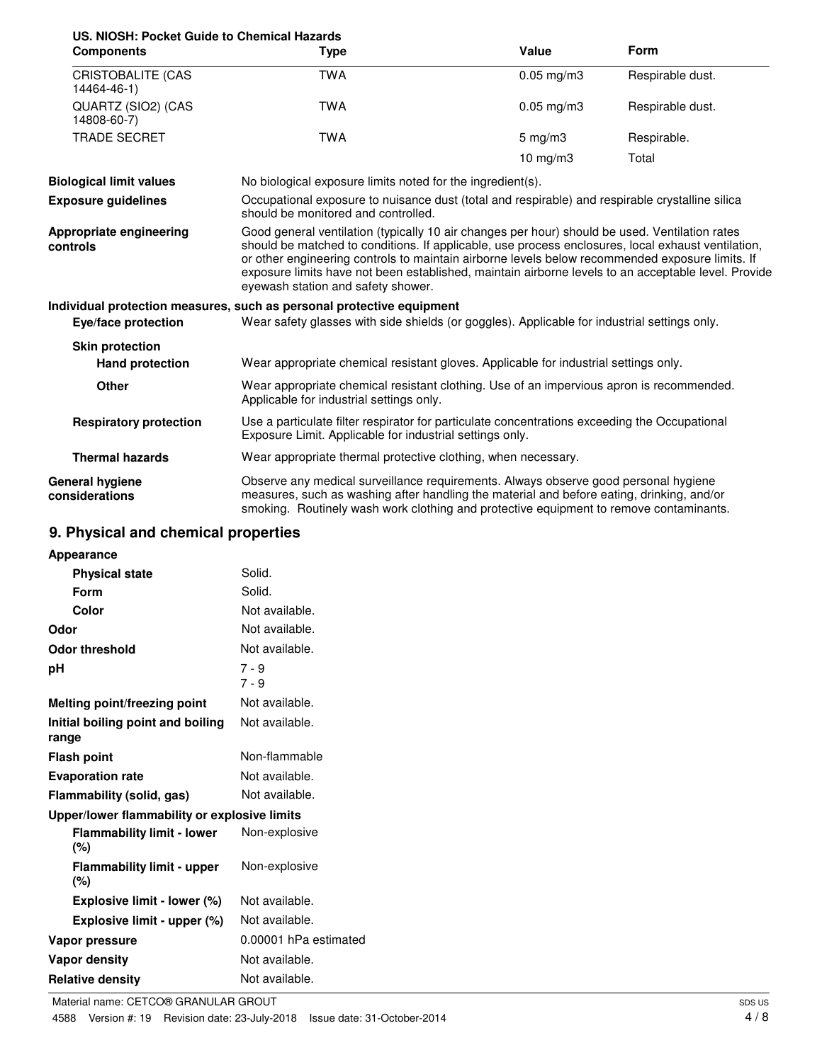| US. NIOSH: Pocket Guide to Chemical Hazards      |                                                                                                                                                                                                                                                                                                                                                                                                                                                      |                    |                  |  |
|--------------------------------------------------|------------------------------------------------------------------------------------------------------------------------------------------------------------------------------------------------------------------------------------------------------------------------------------------------------------------------------------------------------------------------------------------------------------------------------------------------------|--------------------|------------------|--|
| <b>Components</b>                                | Type                                                                                                                                                                                                                                                                                                                                                                                                                                                 | Value              | <b>Form</b>      |  |
| <b>CRISTOBALITE (CAS</b><br>14464-46-1)          | <b>TWA</b>                                                                                                                                                                                                                                                                                                                                                                                                                                           | $0.05$ mg/m $3$    | Respirable dust. |  |
| QUARTZ (SIO2) (CAS<br>14808-60-7)                | <b>TWA</b>                                                                                                                                                                                                                                                                                                                                                                                                                                           | $0.05$ mg/m $3$    | Respirable dust. |  |
| <b>TRADE SECRET</b>                              | <b>TWA</b>                                                                                                                                                                                                                                                                                                                                                                                                                                           | $5 \text{ mg/m}$ 3 | Respirable.      |  |
|                                                  |                                                                                                                                                                                                                                                                                                                                                                                                                                                      | 10 mg/m $3$        | Total            |  |
| <b>Biological limit values</b>                   | No biological exposure limits noted for the ingredient(s).                                                                                                                                                                                                                                                                                                                                                                                           |                    |                  |  |
| <b>Exposure guidelines</b>                       | Occupational exposure to nuisance dust (total and respirable) and respirable crystalline silica<br>should be monitored and controlled.                                                                                                                                                                                                                                                                                                               |                    |                  |  |
| Appropriate engineering<br>controls              | Good general ventilation (typically 10 air changes per hour) should be used. Ventilation rates<br>should be matched to conditions. If applicable, use process enclosures, local exhaust ventilation,<br>or other engineering controls to maintain airborne levels below recommended exposure limits. If<br>exposure limits have not been established, maintain airborne levels to an acceptable level. Provide<br>eyewash station and safety shower. |                    |                  |  |
|                                                  | Individual protection measures, such as personal protective equipment                                                                                                                                                                                                                                                                                                                                                                                |                    |                  |  |
| Eye/face protection                              | Wear safety glasses with side shields (or goggles). Applicable for industrial settings only.                                                                                                                                                                                                                                                                                                                                                         |                    |                  |  |
| <b>Skin protection</b><br><b>Hand protection</b> | Wear appropriate chemical resistant gloves. Applicable for industrial settings only.                                                                                                                                                                                                                                                                                                                                                                 |                    |                  |  |
| <b>Other</b>                                     | Wear appropriate chemical resistant clothing. Use of an impervious apron is recommended.<br>Applicable for industrial settings only.                                                                                                                                                                                                                                                                                                                 |                    |                  |  |
| <b>Respiratory protection</b>                    | Use a particulate filter respirator for particulate concentrations exceeding the Occupational<br>Exposure Limit. Applicable for industrial settings only.                                                                                                                                                                                                                                                                                            |                    |                  |  |

**Thermal hazards** Wear appropriate thermal protective clothing, when necessary.

Observe any medical surveillance requirements. Always observe good personal hygiene measures, such as washing after handling the material and before eating, drinking, and/or smoking. Routinely wash work clothing and protective equipment to remove contaminants. **General hygiene considerations**

## **9. Physical and chemical properties**

| Appearance                                   |                       |
|----------------------------------------------|-----------------------|
| <b>Physical state</b>                        | Solid.                |
| Form                                         | Solid.                |
| Color                                        | Not available.        |
| Odor                                         | Not available.        |
| <b>Odor threshold</b>                        | Not available.        |
| рH                                           | $7 - 9$<br>$7 - 9$    |
| Melting point/freezing point                 | Not available.        |
| Initial boiling point and boiling<br>range   | Not available.        |
| <b>Flash point</b>                           | Non-flammable         |
| <b>Evaporation rate</b>                      | Not available.        |
| Flammability (solid, gas)                    | Not available.        |
| Upper/lower flammability or explosive limits |                       |
| <b>Flammability limit - lower</b><br>(%)     | Non-explosive         |
| <b>Flammability limit - upper</b><br>(%)     | Non-explosive         |
| Explosive limit - lower (%)                  | Not available.        |
| Explosive limit - upper (%)                  | Not available.        |
| Vapor pressure                               | 0.00001 hPa estimated |
| <b>Vapor density</b>                         | Not available.        |
| <b>Relative density</b>                      | Not available.        |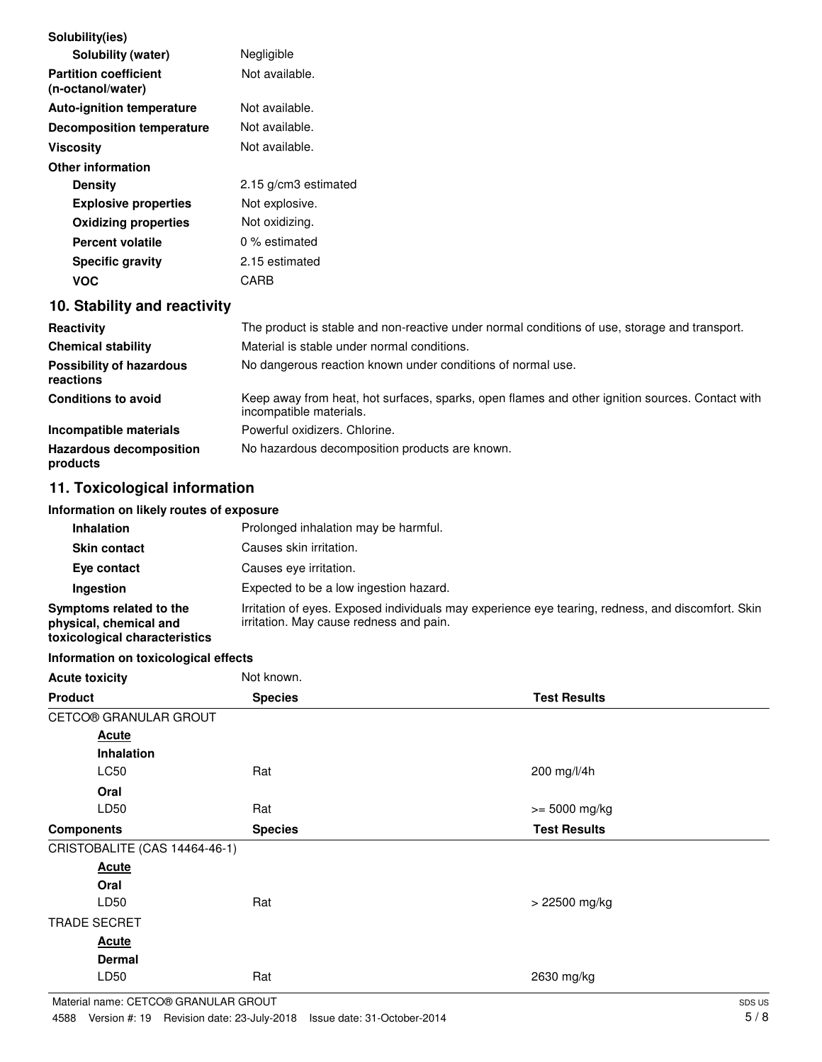| Solubility(ies)                                   |                                                                                                                            |
|---------------------------------------------------|----------------------------------------------------------------------------------------------------------------------------|
| Solubility (water)                                | Negligible                                                                                                                 |
| <b>Partition coefficient</b><br>(n-octanol/water) | Not available.                                                                                                             |
| <b>Auto-ignition temperature</b>                  | Not available.                                                                                                             |
| <b>Decomposition temperature</b>                  | Not available.                                                                                                             |
| <b>Viscosity</b>                                  | Not available.                                                                                                             |
| <b>Other information</b>                          |                                                                                                                            |
| <b>Density</b>                                    | 2.15 g/cm3 estimated                                                                                                       |
| <b>Explosive properties</b>                       | Not explosive.                                                                                                             |
| <b>Oxidizing properties</b>                       | Not oxidizing.                                                                                                             |
| <b>Percent volatile</b>                           | 0 % estimated                                                                                                              |
| <b>Specific gravity</b>                           | 2.15 estimated                                                                                                             |
| <b>VOC</b>                                        | CARB                                                                                                                       |
| 10. Stability and reactivity                      |                                                                                                                            |
| <b>Reactivity</b>                                 | The product is stable and non-reactive under normal conditions of use, storage and transport.                              |
| <b>Chemical stability</b>                         | Material is stable under normal conditions.                                                                                |
| <b>Possibility of hazardous</b><br>reactions      | No dangerous reaction known under conditions of normal use.                                                                |
| <b>Conditions to avoid</b>                        | Keep away from heat, hot surfaces, sparks, open flames and other ignition sources. Contact with<br>incompatible materials. |
| Incompatible materials                            | Powerful oxidizers. Chlorine.                                                                                              |
| <b>Hazardous decomposition</b>                    | No hazardous decomposition products are known.                                                                             |

# **11. Toxicological information**

**products**

#### **Information on likely routes of exposure**

| <b>Inhalation</b>                                                                  | Prolonged inhalation may be harmful.                                                                                                         |
|------------------------------------------------------------------------------------|----------------------------------------------------------------------------------------------------------------------------------------------|
| <b>Skin contact</b>                                                                | Causes skin irritation.                                                                                                                      |
| Eye contact                                                                        | Causes eve irritation.                                                                                                                       |
| Ingestion                                                                          | Expected to be a low ingestion hazard.                                                                                                       |
| Symptoms related to the<br>physical, chemical and<br>toxicological characteristics | Irritation of eyes. Exposed individuals may experience eye tearing, redness, and discomfort. Skin<br>irritation. May cause redness and pain. |

#### **Information on toxicological effects**

| <b>Acute toxicity</b>         | Not known.     |                     |
|-------------------------------|----------------|---------------------|
| <b>Product</b>                | <b>Species</b> | <b>Test Results</b> |
| CETCO® GRANULAR GROUT         |                |                     |
| <b>Acute</b>                  |                |                     |
| Inhalation                    |                |                     |
| LC50                          | Rat            | 200 mg/l/4h         |
| Oral                          |                |                     |
| LD50                          | Rat            | $>= 5000$ mg/kg     |
| <b>Components</b>             | <b>Species</b> | <b>Test Results</b> |
| CRISTOBALITE (CAS 14464-46-1) |                |                     |
| <b>Acute</b>                  |                |                     |
| Oral                          |                |                     |
| LD50                          | Rat            | > 22500 mg/kg       |
| <b>TRADE SECRET</b>           |                |                     |
| <b>Acute</b>                  |                |                     |
| <b>Dermal</b>                 |                |                     |
| LD50                          | Rat            | 2630 mg/kg          |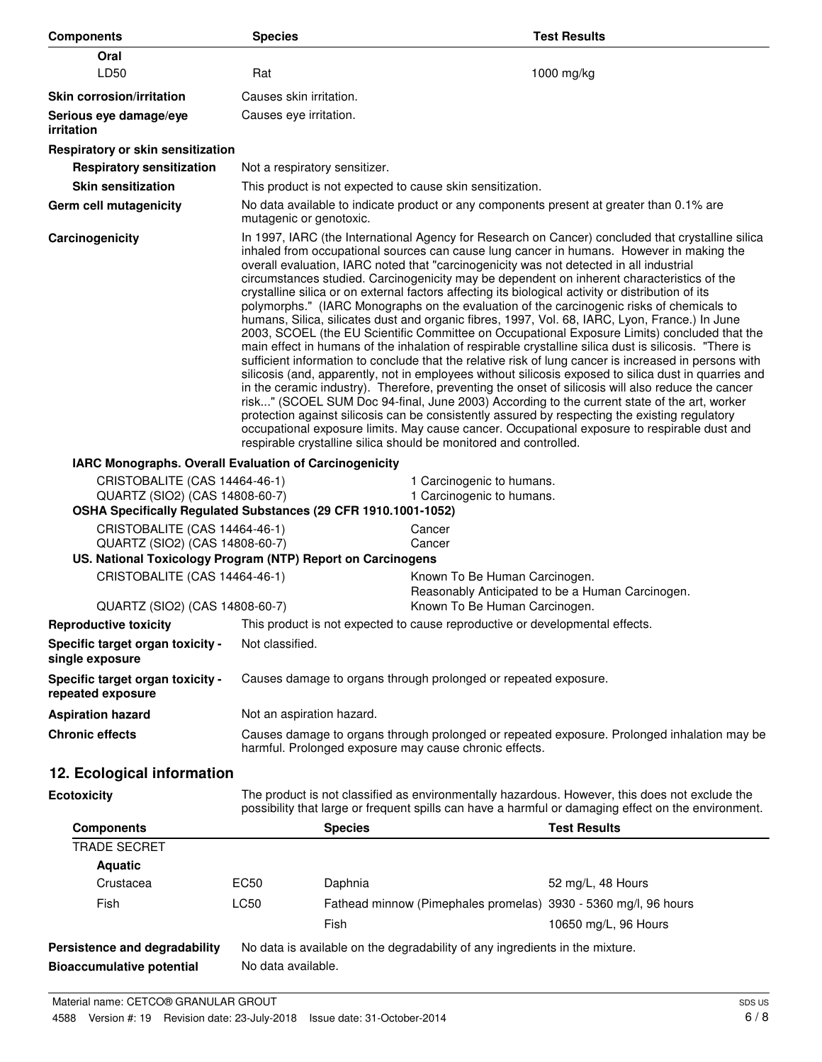| <b>Components</b>                                               | <b>Species</b>                                                                                                                                                                                                                                                                                                                                                                                                                                                                                                                                                                                                                                                                                                                                                                                                                                                                                                                                                                                                                                                                                                                                                                                                                                                                                                                                                                                                                                                                                                                                                                                     |                                                                                          | <b>Test Results</b>                              |
|-----------------------------------------------------------------|----------------------------------------------------------------------------------------------------------------------------------------------------------------------------------------------------------------------------------------------------------------------------------------------------------------------------------------------------------------------------------------------------------------------------------------------------------------------------------------------------------------------------------------------------------------------------------------------------------------------------------------------------------------------------------------------------------------------------------------------------------------------------------------------------------------------------------------------------------------------------------------------------------------------------------------------------------------------------------------------------------------------------------------------------------------------------------------------------------------------------------------------------------------------------------------------------------------------------------------------------------------------------------------------------------------------------------------------------------------------------------------------------------------------------------------------------------------------------------------------------------------------------------------------------------------------------------------------------|------------------------------------------------------------------------------------------|--------------------------------------------------|
| Oral                                                            |                                                                                                                                                                                                                                                                                                                                                                                                                                                                                                                                                                                                                                                                                                                                                                                                                                                                                                                                                                                                                                                                                                                                                                                                                                                                                                                                                                                                                                                                                                                                                                                                    |                                                                                          |                                                  |
| LD50                                                            | Rat                                                                                                                                                                                                                                                                                                                                                                                                                                                                                                                                                                                                                                                                                                                                                                                                                                                                                                                                                                                                                                                                                                                                                                                                                                                                                                                                                                                                                                                                                                                                                                                                |                                                                                          | $1000$ mg/kg                                     |
| <b>Skin corrosion/irritation</b>                                | Causes skin irritation.                                                                                                                                                                                                                                                                                                                                                                                                                                                                                                                                                                                                                                                                                                                                                                                                                                                                                                                                                                                                                                                                                                                                                                                                                                                                                                                                                                                                                                                                                                                                                                            |                                                                                          |                                                  |
| Serious eye damage/eye<br><i>irritation</i>                     | Causes eye irritation.                                                                                                                                                                                                                                                                                                                                                                                                                                                                                                                                                                                                                                                                                                                                                                                                                                                                                                                                                                                                                                                                                                                                                                                                                                                                                                                                                                                                                                                                                                                                                                             |                                                                                          |                                                  |
| Respiratory or skin sensitization                               |                                                                                                                                                                                                                                                                                                                                                                                                                                                                                                                                                                                                                                                                                                                                                                                                                                                                                                                                                                                                                                                                                                                                                                                                                                                                                                                                                                                                                                                                                                                                                                                                    |                                                                                          |                                                  |
| <b>Respiratory sensitization</b>                                | Not a respiratory sensitizer.                                                                                                                                                                                                                                                                                                                                                                                                                                                                                                                                                                                                                                                                                                                                                                                                                                                                                                                                                                                                                                                                                                                                                                                                                                                                                                                                                                                                                                                                                                                                                                      |                                                                                          |                                                  |
| <b>Skin sensitization</b>                                       |                                                                                                                                                                                                                                                                                                                                                                                                                                                                                                                                                                                                                                                                                                                                                                                                                                                                                                                                                                                                                                                                                                                                                                                                                                                                                                                                                                                                                                                                                                                                                                                                    | This product is not expected to cause skin sensitization.                                |                                                  |
| <b>Germ cell mutagenicity</b>                                   | mutagenic or genotoxic.                                                                                                                                                                                                                                                                                                                                                                                                                                                                                                                                                                                                                                                                                                                                                                                                                                                                                                                                                                                                                                                                                                                                                                                                                                                                                                                                                                                                                                                                                                                                                                            | No data available to indicate product or any components present at greater than 0.1% are |                                                  |
| Carcinogenicity                                                 | In 1997, IARC (the International Agency for Research on Cancer) concluded that crystalline silica<br>inhaled from occupational sources can cause lung cancer in humans. However in making the<br>overall evaluation, IARC noted that "carcinogenicity was not detected in all industrial<br>circumstances studied. Carcinogenicity may be dependent on inherent characteristics of the<br>crystalline silica or on external factors affecting its biological activity or distribution of its<br>polymorphs." (IARC Monographs on the evaluation of the carcinogenic risks of chemicals to<br>humans, Silica, silicates dust and organic fibres, 1997, Vol. 68, IARC, Lyon, France.) In June<br>2003, SCOEL (the EU Scientific Committee on Occupational Exposure Limits) concluded that the<br>main effect in humans of the inhalation of respirable crystalline silica dust is silicosis. "There is<br>sufficient information to conclude that the relative risk of lung cancer is increased in persons with<br>silicosis (and, apparently, not in employees without silicosis exposed to silica dust in quarries and<br>in the ceramic industry). Therefore, preventing the onset of silicosis will also reduce the cancer<br>risk" (SCOEL SUM Doc 94-final, June 2003) According to the current state of the art, worker<br>protection against silicosis can be consistently assured by respecting the existing regulatory<br>occupational exposure limits. May cause cancer. Occupational exposure to respirable dust and<br>respirable crystalline silica should be monitored and controlled. |                                                                                          |                                                  |
| IARC Monographs. Overall Evaluation of Carcinogenicity          |                                                                                                                                                                                                                                                                                                                                                                                                                                                                                                                                                                                                                                                                                                                                                                                                                                                                                                                                                                                                                                                                                                                                                                                                                                                                                                                                                                                                                                                                                                                                                                                                    |                                                                                          |                                                  |
| CRISTOBALITE (CAS 14464-46-1)                                   |                                                                                                                                                                                                                                                                                                                                                                                                                                                                                                                                                                                                                                                                                                                                                                                                                                                                                                                                                                                                                                                                                                                                                                                                                                                                                                                                                                                                                                                                                                                                                                                                    | 1 Carcinogenic to humans.                                                                |                                                  |
| QUARTZ (SIO2) (CAS 14808-60-7)                                  |                                                                                                                                                                                                                                                                                                                                                                                                                                                                                                                                                                                                                                                                                                                                                                                                                                                                                                                                                                                                                                                                                                                                                                                                                                                                                                                                                                                                                                                                                                                                                                                                    | 1 Carcinogenic to humans.                                                                |                                                  |
| OSHA Specifically Regulated Substances (29 CFR 1910.1001-1052)  |                                                                                                                                                                                                                                                                                                                                                                                                                                                                                                                                                                                                                                                                                                                                                                                                                                                                                                                                                                                                                                                                                                                                                                                                                                                                                                                                                                                                                                                                                                                                                                                                    |                                                                                          |                                                  |
| CRISTOBALITE (CAS 14464-46-1)<br>QUARTZ (SIO2) (CAS 14808-60-7) |                                                                                                                                                                                                                                                                                                                                                                                                                                                                                                                                                                                                                                                                                                                                                                                                                                                                                                                                                                                                                                                                                                                                                                                                                                                                                                                                                                                                                                                                                                                                                                                                    | Cancer<br>Cancer                                                                         |                                                  |
| US. National Toxicology Program (NTP) Report on Carcinogens     |                                                                                                                                                                                                                                                                                                                                                                                                                                                                                                                                                                                                                                                                                                                                                                                                                                                                                                                                                                                                                                                                                                                                                                                                                                                                                                                                                                                                                                                                                                                                                                                                    |                                                                                          |                                                  |
| CRISTOBALITE (CAS 14464-46-1)                                   |                                                                                                                                                                                                                                                                                                                                                                                                                                                                                                                                                                                                                                                                                                                                                                                                                                                                                                                                                                                                                                                                                                                                                                                                                                                                                                                                                                                                                                                                                                                                                                                                    | Known To Be Human Carcinogen.                                                            |                                                  |
|                                                                 |                                                                                                                                                                                                                                                                                                                                                                                                                                                                                                                                                                                                                                                                                                                                                                                                                                                                                                                                                                                                                                                                                                                                                                                                                                                                                                                                                                                                                                                                                                                                                                                                    |                                                                                          | Reasonably Anticipated to be a Human Carcinogen. |
| QUARTZ (SIO2) (CAS 14808-60-7)                                  |                                                                                                                                                                                                                                                                                                                                                                                                                                                                                                                                                                                                                                                                                                                                                                                                                                                                                                                                                                                                                                                                                                                                                                                                                                                                                                                                                                                                                                                                                                                                                                                                    | Known To Be Human Carcinogen.                                                            |                                                  |
| <b>Reproductive toxicity</b>                                    |                                                                                                                                                                                                                                                                                                                                                                                                                                                                                                                                                                                                                                                                                                                                                                                                                                                                                                                                                                                                                                                                                                                                                                                                                                                                                                                                                                                                                                                                                                                                                                                                    | This product is not expected to cause reproductive or developmental effects.             |                                                  |
| Specific target organ toxicity -<br>single exposure             | Not classified.                                                                                                                                                                                                                                                                                                                                                                                                                                                                                                                                                                                                                                                                                                                                                                                                                                                                                                                                                                                                                                                                                                                                                                                                                                                                                                                                                                                                                                                                                                                                                                                    |                                                                                          |                                                  |
| Specific target organ toxicity -<br>repeated exposure           | Causes damage to organs through prolonged or repeated exposure.                                                                                                                                                                                                                                                                                                                                                                                                                                                                                                                                                                                                                                                                                                                                                                                                                                                                                                                                                                                                                                                                                                                                                                                                                                                                                                                                                                                                                                                                                                                                    |                                                                                          |                                                  |
| <b>Aspiration hazard</b>                                        | Not an aspiration hazard.                                                                                                                                                                                                                                                                                                                                                                                                                                                                                                                                                                                                                                                                                                                                                                                                                                                                                                                                                                                                                                                                                                                                                                                                                                                                                                                                                                                                                                                                                                                                                                          |                                                                                          |                                                  |
| <b>Chronic effects</b>                                          | Causes damage to organs through prolonged or repeated exposure. Prolonged inhalation may be<br>harmful. Prolonged exposure may cause chronic effects.                                                                                                                                                                                                                                                                                                                                                                                                                                                                                                                                                                                                                                                                                                                                                                                                                                                                                                                                                                                                                                                                                                                                                                                                                                                                                                                                                                                                                                              |                                                                                          |                                                  |
| 12. Ecological information                                      |                                                                                                                                                                                                                                                                                                                                                                                                                                                                                                                                                                                                                                                                                                                                                                                                                                                                                                                                                                                                                                                                                                                                                                                                                                                                                                                                                                                                                                                                                                                                                                                                    |                                                                                          |                                                  |
| <b>Ecotoxicity</b>                                              | The product is not classified as environmentally hazardous. However, this does not exclude the<br>possibility that large or frequent spills can have a harmful or damaging effect on the environment.                                                                                                                                                                                                                                                                                                                                                                                                                                                                                                                                                                                                                                                                                                                                                                                                                                                                                                                                                                                                                                                                                                                                                                                                                                                                                                                                                                                              |                                                                                          |                                                  |
| <b>Components</b>                                               |                                                                                                                                                                                                                                                                                                                                                                                                                                                                                                                                                                                                                                                                                                                                                                                                                                                                                                                                                                                                                                                                                                                                                                                                                                                                                                                                                                                                                                                                                                                                                                                                    | <b>Species</b>                                                                           | <b>Test Results</b>                              |
| <b>TRADE SECRET</b>                                             |                                                                                                                                                                                                                                                                                                                                                                                                                                                                                                                                                                                                                                                                                                                                                                                                                                                                                                                                                                                                                                                                                                                                                                                                                                                                                                                                                                                                                                                                                                                                                                                                    |                                                                                          |                                                  |
| <b>Aquatic</b>                                                  |                                                                                                                                                                                                                                                                                                                                                                                                                                                                                                                                                                                                                                                                                                                                                                                                                                                                                                                                                                                                                                                                                                                                                                                                                                                                                                                                                                                                                                                                                                                                                                                                    |                                                                                          |                                                  |
| Crustacea                                                       | EC50                                                                                                                                                                                                                                                                                                                                                                                                                                                                                                                                                                                                                                                                                                                                                                                                                                                                                                                                                                                                                                                                                                                                                                                                                                                                                                                                                                                                                                                                                                                                                                                               | Daphnia                                                                                  | 52 mg/L, 48 Hours                                |
| Fish                                                            | LC50                                                                                                                                                                                                                                                                                                                                                                                                                                                                                                                                                                                                                                                                                                                                                                                                                                                                                                                                                                                                                                                                                                                                                                                                                                                                                                                                                                                                                                                                                                                                                                                               | Fathead minnow (Pimephales promelas) 3930 - 5360 mg/l, 96 hours                          |                                                  |
|                                                                 |                                                                                                                                                                                                                                                                                                                                                                                                                                                                                                                                                                                                                                                                                                                                                                                                                                                                                                                                                                                                                                                                                                                                                                                                                                                                                                                                                                                                                                                                                                                                                                                                    | Fish                                                                                     | 10650 mg/L, 96 Hours                             |
| Persistence and degradability                                   |                                                                                                                                                                                                                                                                                                                                                                                                                                                                                                                                                                                                                                                                                                                                                                                                                                                                                                                                                                                                                                                                                                                                                                                                                                                                                                                                                                                                                                                                                                                                                                                                    | No data is available on the degradability of any ingredients in the mixture.             |                                                  |
| <b>Bioaccumulative potential</b>                                | No data available.                                                                                                                                                                                                                                                                                                                                                                                                                                                                                                                                                                                                                                                                                                                                                                                                                                                                                                                                                                                                                                                                                                                                                                                                                                                                                                                                                                                                                                                                                                                                                                                 |                                                                                          |                                                  |
|                                                                 |                                                                                                                                                                                                                                                                                                                                                                                                                                                                                                                                                                                                                                                                                                                                                                                                                                                                                                                                                                                                                                                                                                                                                                                                                                                                                                                                                                                                                                                                                                                                                                                                    |                                                                                          |                                                  |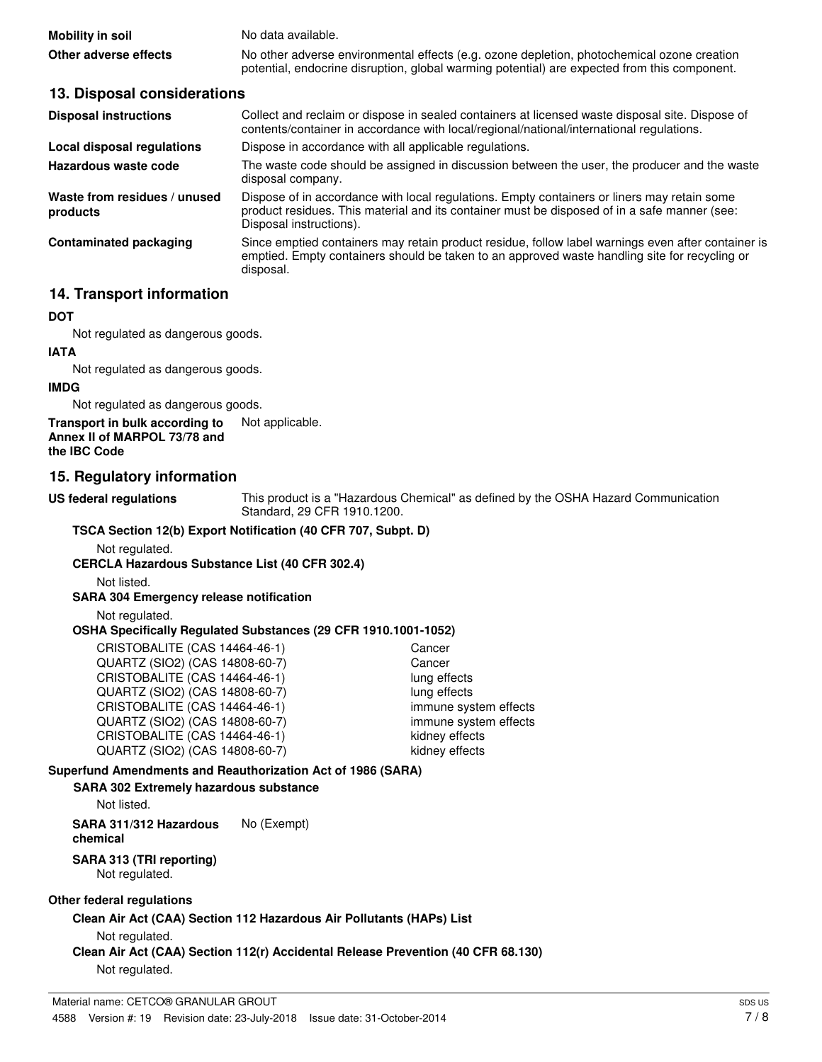| Mobility in soil      | No data available.                                                                           |
|-----------------------|----------------------------------------------------------------------------------------------|
| Other adverse effects | No other adverse environmental effects (e.g. ozone depletion, photochemical ozone creation   |
|                       | potential, endocrine disruption, global warming potential) are expected from this component. |

#### **13. Disposal considerations**

| <b>Disposal instructions</b>             | Collect and reclaim or dispose in sealed containers at licensed waste disposal site. Dispose of<br>contents/container in accordance with local/regional/national/international regulations.                            |
|------------------------------------------|------------------------------------------------------------------------------------------------------------------------------------------------------------------------------------------------------------------------|
| Local disposal regulations               | Dispose in accordance with all applicable regulations.                                                                                                                                                                 |
| Hazardous waste code                     | The waste code should be assigned in discussion between the user, the producer and the waste<br>disposal company.                                                                                                      |
| Waste from residues / unused<br>products | Dispose of in accordance with local regulations. Empty containers or liners may retain some<br>product residues. This material and its container must be disposed of in a safe manner (see:<br>Disposal instructions). |
| <b>Contaminated packaging</b>            | Since emptied containers may retain product residue, follow label warnings even after container is<br>emptied. Empty containers should be taken to an approved waste handling site for recycling or<br>disposal.       |

#### **14. Transport information**

#### **DOT**

Not regulated as dangerous goods.

# **IATA**

Not regulated as dangerous goods.

#### **IMDG**

Not regulated as dangerous goods.

#### **Transport in bulk according to** Not applicable. **Annex II of MARPOL 73/78 and the IBC Code**

#### **15. Regulatory information**

**US federal regulations**

This product is a "Hazardous Chemical" as defined by the OSHA Hazard Communication Standard, 29 CFR 1910.1200.

#### **TSCA Section 12(b) Export Notification (40 CFR 707, Subpt. D)**

Not regulated.

#### **CERCLA Hazardous Substance List (40 CFR 302.4)**

Not listed.

#### **SARA 304 Emergency release notification**

Not regulated.

#### **OSHA Specifically Regulated Substances (29 CFR 1910.1001-1052)**

| CRISTOBALITE (CAS 14464-46-1)  | Cancer                |
|--------------------------------|-----------------------|
| QUARTZ (SIO2) (CAS 14808-60-7) | Cancer                |
| CRISTOBALITE (CAS 14464-46-1)  | lung effects          |
| QUARTZ (SIO2) (CAS 14808-60-7) | lung effects          |
| CRISTOBALITE (CAS 14464-46-1)  | immune system effects |
| QUARTZ (SIO2) (CAS 14808-60-7) | immune system effects |
| CRISTOBALITE (CAS 14464-46-1)  | kidney effects        |
| QUARTZ (SIO2) (CAS 14808-60-7) | kidney effects        |

#### **Superfund Amendments and Reauthorization Act of 1986 (SARA)**

#### **SARA 302 Extremely hazardous substance**

Not listed.

**SARA 311/312 Hazardous** No (Exempt) **chemical**

#### **SARA 313 (TRI reporting)**

Not regulated.

#### **Other federal regulations**

**Clean Air Act (CAA) Section 112 Hazardous Air Pollutants (HAPs) List**

Not regulated.

**Clean Air Act (CAA) Section 112(r) Accidental Release Prevention (40 CFR 68.130)** Not regulated.